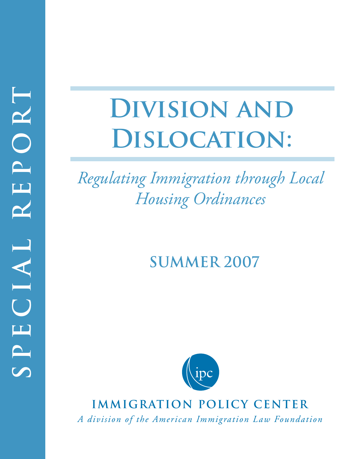# **Division and Dislocation:**

*Regulating Immigration through Local Housing Ordinances*

**summer 2007**



**Immigration Policy Center**  *A division of the American Immigration Law Foundation*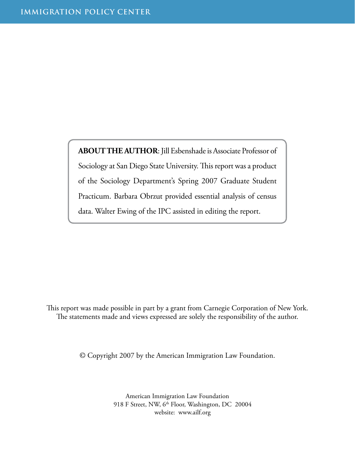ABOUT THE AUTHOR: Jill Esbenshade is Associate Professor of Sociology at San Diego State University. This report was a product of the Sociology Department's Spring 2007 Graduate Student Practicum. Barbara Obrzut provided essential analysis of census data. Walter Ewing of the IPC assisted in editing the report.

This report was made possible in part by a grant from Carnegie Corporation of New York. The statements made and views expressed are solely the responsibility of the author.

© Copyright 2007 by the American Immigration Law Foundation.

American Immigration Law Foundation 918 F Street, NW, 6<sup>th</sup> Floor, Washington, DC 20004 website: www.ailf.org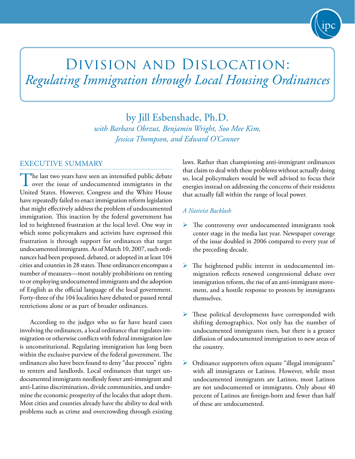

# Division and Dislocation: *Regulating Immigration through Local Housing Ordinances*

by Jill Esbenshade, Ph.D. *with Barbara Obrzut, Benjamin Wright, Soo Mee Kim, Jessica Thompson, and Edward O'Conner*

# Executive Summary

The last two years have seen an intensified public debate **L** over the issue of undocumented immigrants in the United States. However, Congress and the White House have repeatedly failed to enact immigration reform legislation that might effectively address the problem of undocumented immigration. This inaction by the federal government has led to heightened frustration at the local level. One way in which some policymakers and activists have expressed this frustration is through support for ordinances that target undocumented immigrants. As of March 10, 2007, such ordinances had been proposed, debated, or adopted in at least 104 cities and counties in 28 states. These ordinances encompass a number of measures—most notably prohibitions on renting to or employing undocumented immigrants and the adoption of English as the official language of the local government. Forty-three of the 104 localities have debated or passed rental restrictions alone or as part of broader ordinances.

According to the judges who so far have heard cases involving the ordinances, a local ordinance that regulates immigration or otherwise conflicts with federal immigration law is unconstitutional. Regulating immigration has long been within the exclusive purview of the federal government. The ordinances also have been found to deny "due process" rights to renters and landlords. Local ordinances that target undocumented immigrants needlessly foster anti-immigrant and anti-Latino discrimination, divide communities, and undermine the economic prosperity of the locales that adopt them. Most cities and counties already have the ability to deal with problems such as crime and overcrowding through existing

laws. Rather than championing anti-immigrant ordinances that claim to deal with these problems without actually doing so, local policymakers would be well advised to focus their energies instead on addressing the concerns of their residents that actually fall within the range of local power.

## *A Nativist Backlash*

- $\triangleright$  The controversy over undocumented immigrants took center stage in the media last year. Newspaper coverage of the issue doubled in 2006 compared to every year of the preceding decade.
- $\triangleright$  The heightened public interest in undocumented immigration reflects renewed congressional debate over immigration reform, the rise of an anti-immigrant movement, and a hostile response to protests by immigrants themselves.
- $\triangleright$  These political developments have corresponded with shifting demographics. Not only has the number of undocumented immigrants risen, but there is a greater diffusion of undocumented immigration to new areas of the country.
- $\triangleright$  Ordinance supporters often equate "illegal immigrants" with all immigrants or Latinos. However, while most undocumented immigrants are Latinos, most Latinos are not undocumented or immigrants. Only about 40 percent of Latinos are foreign-born and fewer than half of these are undocumented.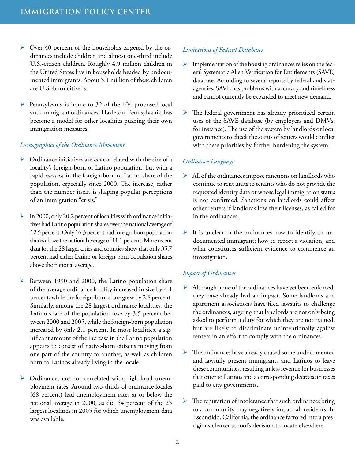- $\triangleright$  Over 40 percent of the households targeted by the ordinances include children and almost one-third include U.S.-citizen children. Roughly 4.9 million children in the United States live in households headed by undocumented immigrants. About 3.1 million of these children are U.S.-born citizens.
- $\triangleright$  Pennsylvania is home to 32 of the 104 proposed local anti-immigrant ordinances. Hazleton, Pennsylvania, has become a model for other localities pushing their own immigration measures.

#### *Demographics of the Ordinance Movement*

- Ø Ordinance initiatives are *not* correlated with the size of a locality's foreign-born or Latino population, but with a rapid *increase* in the foreign-born or Latino share of the population, especially since 2000. The increase, rather than the number itself, is shaping popular perceptions of an immigration "crisis."
- $\triangleright$  In 2000, only 20.2 percent of localities with ordinance initiatives had Latino population shares over the national average of 12.5 percent. Only 16.3 percent had foreign-born population shares above the national average of 11.1 percent. More recent data for the 28 larger cities and counties show that only 35.7 percent had either Latino or foreign-born population shares above the national average.
- $\triangleright$  Between 1990 and 2000, the Latino population share of the average ordinance locality increased in size by 4.1 percent, while the foreign-born share grew by 2.8 percent. Similarly, among the 28 largest ordinance localities, the Latino share of the population rose by 3.5 percent between 2000 and 2005, while the foreign-born population increased by only 2.1 percent. In most localities, a significant amount of the increase in the Latino population appears to consist of native-born citizens moving from one part of the country to another, as well as children born to Latinos already living in the locale.
- $\triangleright$  Ordinances are not correlated with high local unemployment rates. Around two-thirds of ordinance locales (68 percent) had unemployment rates at or below the national average in 2000, as did 64 percent of the 25 largest localities in 2005 for which unemployment data was available.

#### *Limitations of Federal Databases*

- $\blacktriangleright$  Implementation of the housing ordinances relies on the federal Systematic Alien Verification for Entitlements (SAVE) database. According to several reports by federal and state agencies, SAVE has problems with accuracy and timeliness and cannot currently be expanded to meet new demand.
- $\triangleright$  The federal government has already prioritized certain uses of the SAVE database (by employers and DMVs, for instance). The use of the system by landlords or local governments to check the status of renters would conflict with these priorities by further burdening the system.

#### *Ordinance Language*

- $\triangleright$  All of the ordinances impose sanctions on landlords who continue to rent units to tenants who do not provide the requested identity data or whose legal immigration status is not confirmed. Sanctions on landlords could affect other renters if landlords lose their licenses, as called for in the ordinances.
- $\triangleright$  It is unclear in the ordinances how to identify an undocumented immigrant; how to report a violation; and what constitutes sufficient evidence to commence an investigation.

#### *Impact of Ordinances*

- $\triangleright$  Although none of the ordinances have yet been enforced, they have already had an impact. Some landlords and apartment associations have filed lawsuits to challenge the ordinances, arguing that landlords are not only being asked to perform a duty for which they are not trained, but are likely to discriminate unintentionally against renters in an effort to comply with the ordinances.
- $\triangleright$  The ordinances have already caused some undocumented and lawfully present immigrants and Latinos to leave these communities, resulting in less revenue for businesses that cater to Latinos and a corresponding decrease in taxes paid to city governments.
- $\triangleright$  The reputation of intolerance that such ordinances bring to a community may negatively impact all residents. In Escondido, California, the ordinance factored into a prestigious charter school's decision to locate elsewhere.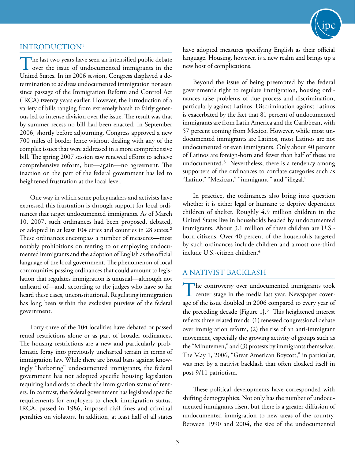

# INTRODUCTION<sup>1</sup>

The last two years have seen an intensified public debate<br>over the issue of undocumented immigrants in the United States. In its 2006 session, Congress displayed a determination to address undocumented immigration not seen since passage of the Immigration Reform and Control Act (IRCA) twenty years earlier. However, the introduction of a variety of bills ranging from extremely harsh to fairly generous led to intense division over the issue. The result was that by summer recess no bill had been enacted. In September 2006, shortly before adjourning, Congress approved a new 700 miles of border fence without dealing with any of the complex issues that were addressed in a more comprehensive bill. The spring 2007 session saw renewed efforts to achieve comprehensive reform, but—again—no agreement. The inaction on the part of the federal government has led to heightened frustration at the local level.

One way in which some policymakers and activists have expressed this frustration is through support for local ordinances that target undocumented immigrants. As of March 10, 2007, such ordinances had been proposed, debated, or adopted in at least 104 cities and counties in 28 states.<sup>2</sup> These ordinances encompass a number of measures—most notably prohibitions on renting to or employing undocumented immigrants and the adoption of English as the official language of the local government. The phenomenon of local communities passing ordinances that could amount to legislation that regulates immigration is unusual—although not unheard of—and, according to the judges who have so far heard these cases, unconstitutional. Regulating immigration has long been within the exclusive purview of the federal government.

Forty-three of the 104 localities have debated or passed rental restrictions alone or as part of broader ordinances. The housing restrictions are a new and particularly problematic foray into previously uncharted terrain in terms of immigration law. While there are broad bans against knowingly "harboring" undocumented immigrants, the federal government has not adopted specific housing legislation requiring landlords to check the immigration status of renters. In contrast, the federal government has legislated specific requirements for employers to check immigration status. IRCA, passed in 1986, imposed civil fines and criminal penalties on violators. In addition, at least half of all states

have adopted measures specifying English as their official language. Housing, however, is a new realm and brings up a new host of complications.

Beyond the issue of being preempted by the federal government's right to regulate immigration, housing ordinances raise problems of due process and discrimination, particularly against Latinos. Discrimination against Latinos is exacerbated by the fact that 81 percent of undocumented immigrants are from Latin America and the Caribbean, with 57 percent coming from Mexico. However, while most undocumented immigrants are Latinos, most Latinos are not undocumented or even immigrants. Only about 40 percent of Latinos are foreign-born and fewer than half of these are undocumented.<sup>3</sup> Nevertheless, there is a tendency among supporters of the ordinances to conflate categories such as "Latino," "Mexican," "immigrant," and "illegal."

In practice, the ordinances also bring into question whether it is either legal or humane to deprive dependent children of shelter. Roughly 4.9 million children in the United States live in households headed by undocumented immigrants. About 3.1 million of these children are U.S. born citizens. Over 40 percent of the households targeted by such ordinances include children and almost one-third include U.S.-citizen children.<sup>4</sup>

# A NATIVIST BACKLASH

The controversy over undocumented immigrants took center stage in the media last year. Newspaper coverage of the issue doubled in 2006 compared to every year of the preceding decade {Figure 1}.<sup>5</sup> This heightened interest reflects three related trends: (1) renewed congressional debate over immigration reform, (2) the rise of an anti-immigrant movement, especially the growing activity of groups such as the "Minutemen," and (3) protests by immigrants themselves. The May 1, 2006, "Great American Boycott," in particular, was met by a nativist backlash that often cloaked itself in post-9/11 patriotism.

These political developments have corresponded with shifting demographics. Not only has the number of undocumented immigrants risen, but there is a greater diffusion of undocumented immigration to new areas of the country. Between 1990 and 2004, the size of the undocumented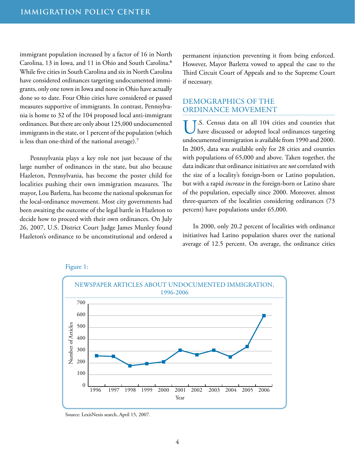immigrant population increased by a factor of 16 in North Carolina, 13 in Iowa, and 11 in Ohio and South Carolina.<sup>6</sup> While five cities in South Carolina and six in North Carolina have considered ordinances targeting undocumented immigrants, only one town in Iowa and none in Ohio have actually done so to date. Four Ohio cities have considered or passed measures supportive of immigrants. In contrast, Pennsylvania is home to 32 of the 104 proposed local anti-immigrant ordinances. But there are only about 125,000 undocumented immigrants in the state, or 1 percent of the population (which is less than one-third of the national average). $<sup>7</sup>$ </sup>

Pennsylvania plays a key role not just because of the large number of ordinances in the state, but also because Hazleton, Pennsylvania, has become the poster child for localities pushing their own immigration measures. The mayor, Lou Barletta, has become the national spokesman for the local-ordinance movement. Most city governments had been awaiting the outcome of the legal battle in Hazleton to decide how to proceed with their own ordinances. On July 26, 2007, U.S. District Court Judge James Munley found Hazleton's ordinance to be unconstitutional and ordered a

permanent injunction preventing it from being enforced. However, Mayor Barletta vowed to appeal the case to the Third Circuit Court of Appeals and to the Supreme Court if necessary.

# Demographics of the ORDINANCE MOVEMENT

U.S. Census data on all 104 cities and counties that have discussed or adopted local ordinances targeting undocumented immigration is available from 1990 and 2000. In 2005, data was available only for 28 cities and counties with populations of 65,000 and above. Taken together, the data indicate that ordinance initiatives are *not* correlated with the size of a locality's foreign-born or Latino population, but with a rapid *increase* in the foreign-born or Latino share of the population, especially since 2000. Moreover, almost three-quarters of the localities considering ordinances (73 percent) have populations under 65,000.

In 2000, only 20.2 percent of localities with ordinance initiatives had Latino population shares over the national average of 12.5 percent. On average, the ordinance cities



Figure 1:

Source: LexisNexis search, April 15, 2007.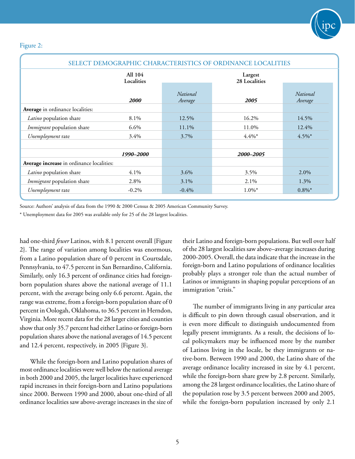Figure 2:

|                                           |                       |                     | SELECT DEMOGRAPHIC CHARACTERISTICS OF ORDINANCE LOCALITIES |                      |
|-------------------------------------------|-----------------------|---------------------|------------------------------------------------------------|----------------------|
|                                           | All 104<br>Localities |                     | Largest<br>28 Localities                                   |                      |
|                                           | <b>2000</b>           | National<br>Average | 2005                                                       | National<br>Average  |
| Average in ordinance localities:          |                       |                     |                                                            |                      |
| Latino population share                   | 8.1%                  | 12.5%               | 16.2%                                                      | 14.5%                |
| Immigrant population share                | 6.6%                  | 11.1%               | 11.0%                                                      | 12.4%                |
| Unemployment rate                         | 3.4%                  | 3.7%                | $4.4\%$ *                                                  | $4.5\%$ *            |
|                                           | 1990–2000             |                     | 2000–2005                                                  |                      |
| Average increase in ordinance localities: |                       |                     |                                                            |                      |
| Latino population share                   | 4.1%                  | 3.6%                | 3.5%                                                       | 2.0%                 |
| Immigrant population share                | 2.8%                  | $3.1\%$             | 2.1%                                                       | 1.3%                 |
| Unemployment rate                         | $-0.2\%$              | $-0.4%$             | $1.0\%$ <sup>*</sup>                                       | $0.8\%$ <sup>*</sup> |

Source: Authors' analysis of data from the 1990 & 2000 Census & 2005 American Community Survey.

\* Unemployment data for 2005 was available only for 25 of the 28 largest localities.

had one-third *fewer* Latinos, with 8.1 percent overall {Figure 2}. The range of variation among localities was enormous, from a Latino population share of 0 percent in Courtsdale, Pennsylvania, to 47.5 percent in San Bernardino, California. Similarly, only 16.3 percent of ordinance cities had foreignborn population shares above the national average of 11.1 percent, with the average being only 6.6 percent. Again, the range was extreme, from a foreign-born population share of 0 percent in Oologah, Oklahoma, to 36.5 percent in Herndon, Virginia. More recent data for the 28 larger cities and counties show that only 35.7 percent had either Latino or foreign-born population shares above the national averages of 14.5 percent and 12.4 percent, respectively, in 2005 {Figure 3}.

While the foreign-born and Latino population shares of most ordinance localities were well below the national average in both 2000 and 2005, the larger localities have experienced rapid increases in their foreign-born and Latino populations since 2000. Between 1990 and 2000, about one-third of all ordinance localities saw above-average increases in the size of their Latino and foreign-born populations. But well over half of the 28 largest localities saw above–average increases during 2000-2005. Overall, the data indicate that the increase in the foreign-born and Latino populations of ordinance localities probably plays a stronger role than the actual number of Latinos or immigrants in shaping popular perceptions of an immigration "crisis."

The number of immigrants living in any particular area is difficult to pin down through casual observation, and it is even more difficult to distinguish undocumented from legally present immigrants. As a result, the decisions of local policymakers may be influenced more by the number of Latinos living in the locale, be they immigrants or native-born. Between 1990 and 2000, the Latino share of the average ordinance locality increased in size by 4.1 percent, while the foreign-born share grew by 2.8 percent. Similarly, among the 28 largest ordinance localities, the Latino share of the population rose by 3.5 percent between 2000 and 2005, while the foreign-born population increased by only 2.1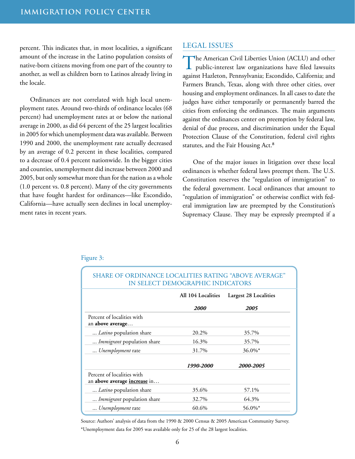percent. This indicates that, in most localities, a significant amount of the increase in the Latino population consists of native-born citizens moving from one part of the country to another, as well as children born to Latinos already living in the locale.

Ordinances are not correlated with high local unemployment rates. Around two-thirds of ordinance locales (68 percent) had unemployment rates at or below the national average in 2000, as did 64 percent of the 25 largest localities in 2005 for which unemployment data was available. Between 1990 and 2000, the unemployment rate actually decreased by an average of 0.2 percent in these localities, compared to a decrease of 0.4 percent nationwide. In the bigger cities and counties, unemployment did increase between 2000 and 2005, but only somewhat more than for the nation as a whole (1.0 percent vs. 0.8 percent). Many of the city governments that have fought hardest for ordinances—like Escondido, California—have actually seen declines in local unemployment rates in recent years.

#### Legal Issues

The American Civil Liberties Union (ACLU) and other public-interest law organizations have filed lawsuits against Hazleton, Pennsylvania; Escondido, California; and Farmers Branch, Texas, along with three other cities, over housing and employment ordinances. In all cases to date the judges have either temporarily or permanently barred the cities from enforcing the ordinances. The main arguments against the ordinances center on preemption by federal law, denial of due process, and discrimination under the Equal Protection Clause of the Constitution, federal civil rights statutes, and the Fair Housing Act.<sup>8</sup>

One of the major issues in litigation over these local ordinances is whether federal laws preempt them. The U.S. Constitution reserves the "regulation of immigration" to the federal government. Local ordinances that amount to "regulation of immigration" or otherwise conflict with federal immigration law are preempted by the Constitution's Supremacy Clause. They may be expressly preempted if a

#### Figure 3:

| SHARE OF ORDINANCE LOCALITIES RATING "ABOVE AVERAGE"              |                                  |                              |
|-------------------------------------------------------------------|----------------------------------|------------------------------|
|                                                                   | IN SELECT DEMOGRAPHIC INDICATORS |                              |
|                                                                   | All 104 Localities               | <b>Largest 28 Localities</b> |
|                                                                   | <i>2000</i>                      | 2005                         |
| Percent of localities with<br>an above average                    |                                  |                              |
| Latino population share                                           | 20.2%                            | 35.7%                        |
| <i>Immigrant</i> population share                                 | 16.3%                            | 35.7%                        |
| <i>Unemployment</i> rate                                          | 31.7%                            | $36.0\%$ *                   |
|                                                                   | 1990-2000                        | 2000-2005                    |
| Percent of localities with<br>an above average <i>increase</i> in |                                  |                              |
| Latino population share                                           | 35.6%                            | 57.1%                        |
| Immigrant population share                                        | 32.7%                            | 64.3%                        |
| Unemployment rate                                                 | 60.6%                            | 56.0%*                       |
|                                                                   |                                  |                              |

Source: Authors' analysis of data from the 1990 & 2000 Census & 2005 American Community Survey. \*Unemployment data for 2005 was available only for 25 of the 28 largest localities.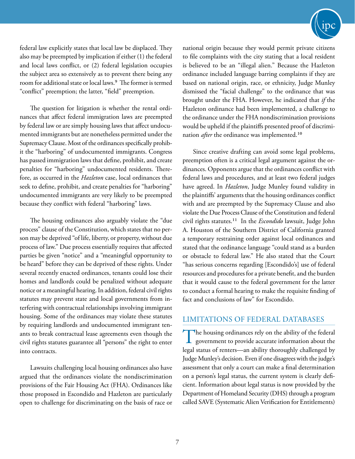

federal law explicitly states that local law be displaced. They also may be preempted by implication if either (1) the federal and local laws conflict, or (2) federal legislation occupies the subject area so extensively as to prevent there being any room for additional state or local laws.<sup>9</sup> The former is termed "conflict" preemption; the latter, "field" preemption.

The question for litigation is whether the rental ordinances that affect federal immigration laws are preempted by federal law or are simply housing laws that affect undocumented immigrants but are nonetheless permitted under the Supremacy Clause. Most of the ordinances specifically prohibit the "harboring" of undocumented immigrants. Congress has passed immigration laws that define, prohibit, and create penalties for "harboring" undocumented residents. Therefore, as occurred in the *Hazleton* case, local ordinances that seek to define, prohibit, and create penalties for "harboring" undocumented immigrants are very likely to be preempted because they conflict with federal "harboring" laws.

The housing ordinances also arguably violate the "due process" clause of the Constitution, which states that no person may be deprived "of life, liberty, or property, without due process of law." Due process essentially requires that affected parties be given "notice" and a "meaningful opportunity to be heard" before they can be deprived of these rights. Under several recently enacted ordinances, tenants could lose their homes and landlords could be penalized without adequate notice or a meaningful hearing. In addition, federal civil rights statutes may prevent state and local governments from interfering with contractual relationships involving immigrant housing. Some of the ordinances may violate these statutes by requiring landlords and undocumented immigrant tenants to break contractual lease agreements even though the civil rights statutes guarantee all "persons" the right to enter into contracts.

Lawsuits challenging local housing ordinances also have argued that the ordinances violate the nondiscrimination provisions of the Fair Housing Act (FHA). Ordinances like those proposed in Escondido and Hazleton are particularly open to challenge for discriminating on the basis of race or national origin because they would permit private citizens to file complaints with the city stating that a local resident is believed to be an "illegal alien." Because the Hazleton ordinance included language barring complaints if they are based on national origin, race, or ethnicity, Judge Munley dismissed the "facial challenge" to the ordinance that was brought under the FHA. However, he indicated that *if* the Hazleton ordinance had been implemented, a challenge to the ordinance under the FHA nondiscrimination provisions would be upheld if the plaintiffs presented proof of discrimination *after* the ordinance was implemented.<sup>10</sup>

Since creative drafting can avoid some legal problems, preemption often is a critical legal argument against the ordinances. Opponents argue that the ordinances conflict with federal laws and procedures, and at least two federal judges have agreed. In *Hazleton*, Judge Munley found validity in the plaintiffs' arguments that the housing ordinances conflict with and are preempted by the Supremacy Clause and also violate the Due Process Clause of the Constitution and federal civil rights statutes.<sup>11</sup> In the *Escondido* lawsuit, Judge John A. Houston of the Southern District of California granted a temporary restraining order against local ordinances and stated that the ordinance language "could stand as a burden or obstacle to federal law." He also stated that the Court "has serious concerns regarding [Escondido's] use of federal resources and procedures for a private benefit, and the burden that it would cause to the federal government for the latter to conduct a formal hearing to make the requisite finding of fact and conclusions of law" for Escondido.

#### Limitations of Federal Databases

The housing ordinances rely on the ability of the federal government to provide accurate information about the legal status of renters—an ability thoroughly challenged by Judge Munley's decision. Even if one disagrees with the judge's assessment that only a court can make a final determination on a person's legal status, the current system is clearly deficient. Information about legal status is now provided by the Department of Homeland Security (DHS) through a program called SAVE (Systematic Alien Verification for Entitlements)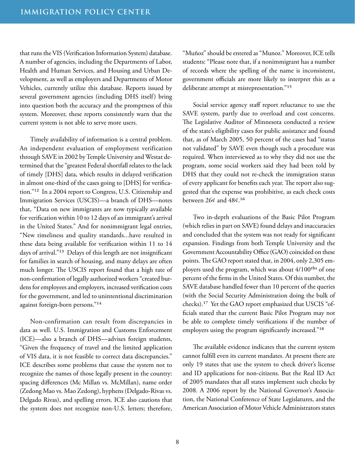that runs the VIS (Verification Information System) database. A number of agencies, including the Departments of Labor, Health and Human Services, and Housing and Urban Development, as well as employers and Departments of Motor Vehicles, currently utilize this database. Reports issued by several government agencies (including DHS itself) bring into question both the accuracy and the promptness of this system. Moreover, these reports consistently warn that the current system is not able to serve more users.

Timely availability of information is a central problem. An independent evaluation of employment verification through SAVE in 2002 by Temple University and Westat determined that the "greatest Federal shortfall relates to the lack of timely [DHS] data, which results in delayed verification in almost one-third of the cases going to [DHS] for verification."<sup>12</sup> In a 2004 report to Congress, U.S. Citizenship and Immigration Services (USCIS)—a branch of DHS—notes that, "Data on new immigrants are now typically available for verification within 10 to 12 days of an immigrant's arrival in the United States." And for nonimmigrant legal entries, "New timeliness and quality standards...have resulted in these data being available for verification within 11 to 14 days of arrival."<sup>13</sup> Delays of this length are not insignificant for families in search of housing, and many delays are often much longer. The USCIS report found that a high rate of non-confirmation of legally authorized workers "created burdens for employees and employers, increased verification costs for the government, and led to unintentional discrimination against foreign-born persons."<sup>14</sup>

Non-confirmation can result from discrepancies in data as well. U.S. Immigration and Customs Enforcement (ICE)—also a branch of DHS—advises foreign students, "Given the frequency of travel and the limited application of VIS data, it is not feasible to correct data discrepancies." ICE describes some problems that cause the system not to recognize the names of those legally present in the country: spacing differences (Mc Millan vs. McMillan), name order (Zedong Mao vs. Mao Zedong), hyphens (Delgado-Rivas vs. Delgado Rivas), and spelling errors. ICE also cautions that the system does not recognize non-U.S. letters; therefore,

"Muñoz" should be entered as "Munoz." Moreover, ICE tells students: "Please note that, if a nonimmigrant has a number of records where the spelling of the name is inconsistent, government officials are more likely to interpret this as a deliberate attempt at misrepresentation."<sup>15</sup>

Social service agency staff report reluctance to use the SAVE system, partly due to overload and cost concerns. The Legislative Auditor of Minnesota conducted a review of the state's eligibility cases for public assistance and found that, as of March 2005, 50 percent of the cases had "status not validated" by SAVE even though such a procedure was required. When interviewed as to why they did not use the program, some social workers said they had been told by DHS that they could not re-check the immigration status of every applicant for benefits each year. The report also suggested that the expense was prohibitive, as each check costs between  $26¢$  and  $48¢.^{16}$ 

Two in-depth evaluations of the Basic Pilot Program (which relies in part on SAVE) found delays and inaccuracies and concluded that the system was not ready for significant expansion. Findings from both Temple University and the Government Accountability Office (GAO) coincided on these points. The GAO report stated that, in 2004, only 2,305 employers used the program, which was about  $4/100^{\text{ths}}$  of one percent of the firms in the United States. Of this number, the SAVE database handled fewer than 10 percent of the queries (with the Social Security Administration doing the bulk of checks).<sup>17</sup> Yet the GAO report emphasized that USCIS "officials stated that the current Basic Pilot Program may not be able to complete timely verifications if the number of employers using the program significantly increased."<sup>18</sup>

The available evidence indicates that the current system cannot fulfill even its current mandates. At present there are only 19 states that use the system to check driver's license and ID applications for non-citizens. But the Real ID Act of 2005 mandates that all states implement such checks by 2008. A 2006 report by the National Governor's Association, the National Conference of State Legislatures, and the American Association of Motor Vehicle Administrators states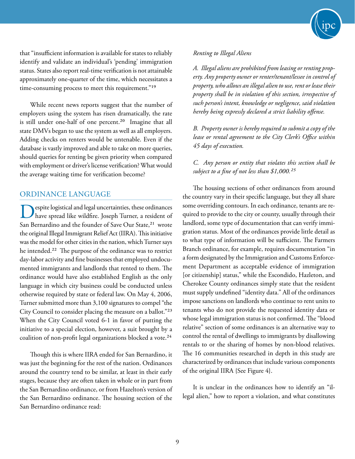

that "insufficient information is available for states to reliably identify and validate an individual's 'pending' immigration status. States also report real-time verification is not attainable approximately one-quarter of the time, which necessitates a time-consuming process to meet this requirement."<sup>19</sup>

While recent news reports suggest that the number of employers using the system has risen dramatically, the rate is still under one-half of one percent.<sup>20</sup> Imagine that all state DMVs began to use the system as well as all employers. Adding checks on renters would be untenable. Even if the database is vastly improved and able to take on more queries, should queries for renting be given priority when compared with employment or driver's license verification? What would the average waiting time for verification become?

# ORDINANCE LANGUAGE

Despite logistical and legal uncertainties, these ordinances have spread like wildfire. Joseph Turner, a resident of San Bernardino and the founder of Save Our State,<sup>21</sup> wrote the original Illegal Immigrant Relief Act (IIRA). This initiative was the model for other cities in the nation, which Turner says he intended.<sup>22</sup> The purpose of the ordinance was to restrict day-labor activity and fine businesses that employed undocumented immigrants and landlords that rented to them. The ordinance would have also established English as the only language in which city business could be conducted unless otherwise required by state or federal law. On May 4, 2006, Turner submitted more than 3,100 signatures to compel "the City Council to consider placing the measure on a ballot."23 When the City Council voted 6-1 in favor of putting the initiative to a special election, however, a suit brought by a coalition of non-profit legal organizations blocked a vote.<sup>24</sup>

Though this is where IIRA ended for San Bernardino, it was just the beginning for the rest of the nation. Ordinances around the country tend to be similar, at least in their early stages, because they are often taken in whole or in part from the San Bernardino ordinance, or from Hazelton's version of the San Bernardino ordinance. The housing section of the San Bernardino ordinance read:

#### *Renting to Illegal Aliens*

*A. Illegal aliens are prohibited from leasing or renting property. Any property owner or renter/tenant/lessee in control of property, who allows an illegal alien to use, rent or lease their property shall be in violation of this section, irrespective of such person's intent, knowledge or negligence, said violation hereby being expressly declared a strict liability offense.*

*B. Property owner is hereby required to submit a copy of the lease or rental agreement to the City Clerk's Office within 45 days of execution.*

# *C. Any person or entity that violates this section shall be*  subject to a fine of not less than \$1,000.<sup>25</sup>

The housing sections of other ordinances from around the country vary in their specific language, but they all share some overriding contours. In each ordinance, tenants are required to provide to the city or county, usually through their landlord, some type of documentation that can verify immigration status. Most of the ordinances provide little detail as to what type of information will be sufficient. The Farmers Branch ordinance, for example, requires documentation "in a form designated by the Immigration and Customs Enforcement Department as acceptable evidence of immigration [or citizenship] status," while the Escondido, Hazleton, and Cherokee County ordinances simply state that the resident must supply undefined "identity data." All of the ordinances impose sanctions on landlords who continue to rent units to tenants who do not provide the requested identity data or whose legal immigration status is not confirmed. The "blood relative" section of some ordinances is an alternative way to control the rental of dwellings to immigrants by disallowing rentals to or the sharing of homes by non-blood relatives. The 16 communities researched in depth in this study are characterized by ordinances that include various components of the original IIRA {See Figure 4}.

It is unclear in the ordinances how to identify an "illegal alien," how to report a violation, and what constitutes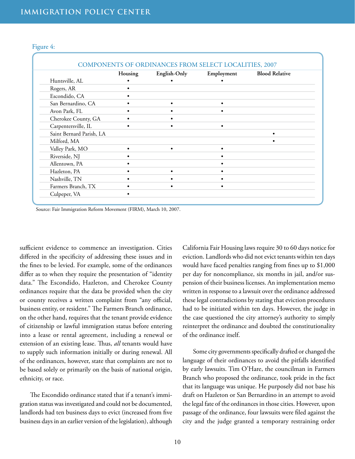|                          | Housing | English-Only | Employment | <b>Blood Relative</b> |
|--------------------------|---------|--------------|------------|-----------------------|
| Huntsville, AL           |         |              |            |                       |
| Rogers, AR               |         |              |            |                       |
| Escondido, CA            |         |              |            |                       |
| San Bernardino, CA       |         |              |            |                       |
| Avon Park, FL            |         |              |            |                       |
| Cherokee County, GA      |         |              |            |                       |
| Carpentersville, IL      |         |              |            |                       |
| Saint Bernard Parish, LA |         |              |            |                       |
| Milford, MA              |         |              |            |                       |
| Valley Park, MO          |         |              |            |                       |
| Riverside, NJ            |         |              |            |                       |
| Allentown, PA            |         |              |            |                       |
| Hazleton, PA             |         |              |            |                       |
| Nashville, TN            |         |              |            |                       |
| Farmers Branch, TX       |         |              |            |                       |
| Culpeper, VA             |         |              |            |                       |

#### Figure 4:

Source: Fair Immigration Reform Movement (FIRM), March 10, 2007.

sufficient evidence to commence an investigation. Cities differed in the specificity of addressing these issues and in the fines to be levied. For example, some of the ordinances differ as to when they require the presentation of "identity data." The Escondido, Hazleton, and Cherokee County ordinances require that the data be provided when the city or county receives a written complaint from "any official, business entity, or resident." The Farmers Branch ordinance, on the other hand, requires that the tenant provide evidence of citizenship or lawful immigration status before entering into a lease or rental agreement, including a renewal or extension of an existing lease. Thus, *all* tenants would have to supply such information initially or during renewal. All of the ordinances, however, state that complaints are not to be based solely or primarily on the basis of national origin, ethnicity, or race.

The Escondido ordinance stated that if a tenant's immigration status was investigated and could not be documented, landlords had ten business days to evict (increased from five business days in an earlier version of the legislation), although California Fair Housing laws require 30 to 60 days notice for eviction. Landlords who did not evict tenants within ten days would have faced penalties ranging from fines up to \$1,000 per day for noncompliance, six months in jail, and/or suspension of their business licenses. An implementation memo written in response to a lawsuit over the ordinance addressed these legal contradictions by stating that eviction procedures had to be initiated within ten days. However, the judge in the case questioned the city attorney's authority to simply reinterpret the ordinance and doubted the constitutionality of the ordinance itself.

Some city governments specifically drafted or changed the language of their ordinances to avoid the pitfalls identified by early lawsuits. Tim O'Hare, the councilman in Farmers Branch who proposed the ordinance, took pride in the fact that its language was unique. He purposely did not base his draft on Hazleton or San Bernardino in an attempt to avoid the legal fate of the ordinances in those cities. However, upon passage of the ordinance, four lawsuits were filed against the city and the judge granted a temporary restraining order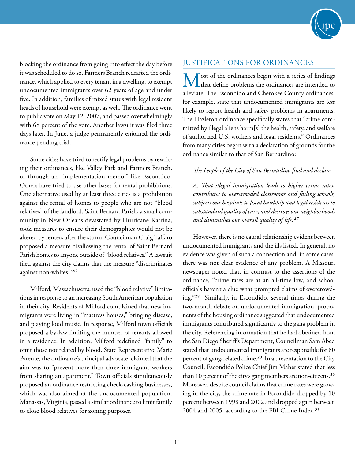

blocking the ordinance from going into effect the day before it was scheduled to do so. Farmers Branch redrafted the ordinance, which applied to every tenant in a dwelling, to exempt undocumented immigrants over 62 years of age and under five. In addition, families of mixed status with legal resident heads of household were exempt as well. The ordinance went to public vote on May 12, 2007, and passed overwhelmingly with 68 percent of the vote. Another lawsuit was filed three days later. In June, a judge permanently enjoined the ordinance pending trial.

Some cities have tried to rectify legal problems by rewriting their ordinances, like Valley Park and Farmers Branch, or through an "implementation memo," like Escondido. Others have tried to use other bases for rental prohibitions. One alternative used by at least three cities is a prohibition against the rental of homes to people who are not "blood relatives" of the landlord. Saint Bernard Parish, a small community in New Orleans devastated by Hurricane Katrina, took measures to ensure their demographics would not be altered by renters after the storm. Councilman Craig Taffaro proposed a measure disallowing the rental of Saint Bernard Parish homes to anyone outside of "blood relatives." A lawsuit filed against the city claims that the measure "discriminates against non-whites."26

Milford, Massachusetts, used the "blood relative" limitations in response to an increasing South American population in their city. Residents of Milford complained that new immigrants were living in "mattress houses," bringing disease, and playing loud music. In response, Milford town officials proposed a by-law limiting the number of tenants allowed in a residence. In addition, Milford redefined "family" to omit those not related by blood. State Representative Marie Parente, the ordinance's principal advocate, claimed that the aim was to "prevent more than three immigrant workers from sharing an apartment." Town officials simultaneously proposed an ordinance restricting check-cashing businesses, which was also aimed at the undocumented population. Manassas, Virginia, passed a similar ordinance to limit family to close blood relatives for zoning purposes.

# Justifications for Ordinances

[ost of the ordinances begin with a series of findings that define problems the ordinances are intended to alleviate. The Escondido and Cherokee County ordinances, for example, state that undocumented immigrants are less likely to report health and safety problems in apartments. The Hazleton ordinance specifically states that "crime committed by illegal aliens harm[s] the health, safety, and welfare of authorized U.S. workers and legal residents." Ordinances from many cities began with a declaration of grounds for the ordinance similar to that of San Bernardino:

#### *The People of the City of San Bernardino find and declare:*

*A. That illegal immigration leads to higher crime rates, contributes to overcrowded classrooms and failing schools, subjects our hospitals to fiscal hardship and legal residents to substandard quality of care, and destroys our neighborhoods and diminishes our overall quality of life.²⁷* 

However, there is no causal relationship evident between undocumented immigrants and the ills listed. In general, no evidence was given of such a connection and, in some cases, there was not clear evidence of any problem. A Missouri newspaper noted that, in contrast to the assertions of the ordinance, "crime rates are at an all-time low, and school officials haven't a clue what prompted claims of overcrowding."<sup>28</sup> Similarly, in Escondido, several times during the two-month debate on undocumented immigration, proponents of the housing ordinance suggested that undocumented immigrants contributed significantly to the gang problem in the city. Referencing information that he had obtained from the San Diego Sheriff's Department, Councilman Sam Abed stated that undocumented immigrants are responsible for 80 percent of gang-related crime.<sup>29</sup> In a presentation to the City Council, Escondido Police Chief Jim Maher stated that less than 10 percent of the city's gang members are non-citizens.<sup>30</sup> Moreover, despite council claims that crime rates were growing in the city, the crime rate in Escondido dropped by 10 percent between 1998 and 2002 and dropped again between 2004 and 2005, according to the FBI Crime Index.<sup>31</sup>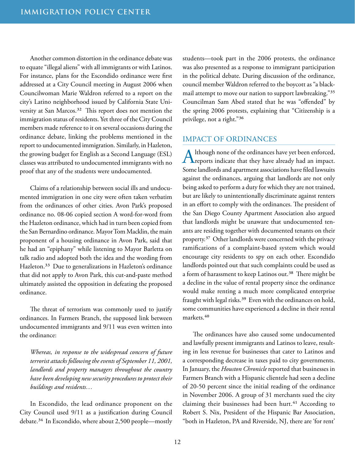Another common distortion in the ordinance debate was to equate "illegal aliens" with all immigrants or with Latinos. For instance, plans for the Escondido ordinance were first addressed at a City Council meeting in August 2006 when Councilwoman Marie Waldron referred to a report on the city's Latino neighborhood issued by California State University at San Marcos.<sup>32</sup> This report does not mention the immigration status of residents. Yet three of the City Council members made reference to it on several occasions during the ordinance debate, linking the problems mentioned in the report to undocumented immigration. Similarly, in Hazleton, the growing budget for English as a Second Language (ESL) classes was attributed to undocumented immigrants with no proof that any of the students were undocumented.

Claims of a relationship between social ills and undocumented immigration in one city were often taken verbatim from the ordinances of other cities. Avon Park's proposed ordinance no. 08-06 copied section A word-for-word from the Hazleton ordinance, which had in turn been copied from the San Bernardino ordinance. Mayor Tom Macklin, the main proponent of a housing ordinance in Avon Park, said that he had an "epiphany" while listening to Mayor Barletta on talk radio and adopted both the idea and the wording from Hazleton.<sup>33</sup> Due to generalizations in Hazleton's ordinance that did not apply to Avon Park, this cut-and-paste method ultimately assisted the opposition in defeating the proposed ordinance.

The threat of terrorism was commonly used to justify ordinances. In Farmers Branch, the supposed link between undocumented immigrants and 9/11 was even written into the ordinance:

*Whereas, in response to the widespread concern of future terrorist attacks following the events of September 11, 2001, landlords and property managers throughout the country have been developing new security procedures to protect their buildings and residents…*

In Escondido, the lead ordinance proponent on the City Council used 9/11 as a justification during Council debate.<sup>34</sup> In Escondido, where about 2,500 people—mostly students—took part in the 2006 protests, the ordinance was also presented as a response to immigrant participation in the political debate. During discussion of the ordinance, council member Waldron referred to the boycott as "a blackmail attempt to move our nation to support lawbreaking."35 Councilman Sam Abed stated that he was "offended" by the spring 2006 protests, explaining that "Citizenship is a privilege, not a right."36

# Impact of Ordinances

Although none of the ordinances have yet been enforced,<br>reports indicate that they have already had an impact. Some landlords and apartment associations have filed lawsuits against the ordinances, arguing that landlords are not only being asked to perform a duty for which they are not trained, but are likely to unintentionally discriminate against renters in an effort to comply with the ordinances. The president of the San Diego County Apartment Association also argued that landlords might be unaware that undocumented tenants are residing together with documented tenants on their property.<sup>37</sup> Other landlords were concerned with the privacy ramifications of a complaint-based system which would encourage city residents to spy on each other. Escondido landlords pointed out that such complaints could be used as a form of harassment to keep Latinos out.<sup>38</sup> There might be a decline in the value of rental property since the ordinance would make renting a much more complicated enterprise fraught with legal risks.<sup>39</sup> Even with the ordinances on hold, some communities have experienced a decline in their rental markets.<sup>40</sup>

The ordinances have also caused some undocumented and lawfully present immigrants and Latinos to leave, resulting in less revenue for businesses that cater to Latinos and a corresponding decrease in taxes paid to city governments. In January, the *Houston Chronicle* reported that businesses in Farmers Branch with a Hispanic clientele had seen a decline of 20-50 percent since the initial reading of the ordinance in November 2006. A group of 31 merchants sued the city claiming their businesses had been hurt.<sup>41</sup> According to Robert S. Nix, President of the Hispanic Bar Association, "both in Hazleton, PA and Riverside, NJ, there are 'for rent'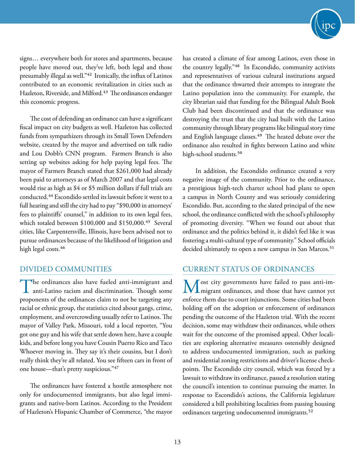

signs… everywhere both for stores and apartments, because people have moved out, they've left, both legal and those presumably illegal as well."<sup>42</sup> Ironically, the influx of Latinos contributed to an economic revitalization in cities such as Hazleton, Riverside, and Milford.<sup>43</sup> The ordinances endanger this economic progress.

The cost of defending an ordinance can have a significant fiscal impact on city budgets as well. Hazleton has collected funds from sympathizers through its Small Town Defenders website, created by the mayor and advertised on talk radio and Lou Dobb's CNN program. Farmers Branch is also setting up websites asking for help paying legal fees. The mayor of Farmers Branch stated that \$261,000 had already been paid to attorneys as of March 2007 and that legal costs would rise as high as \$4 or \$5 million dollars if full trials are conducted.<sup>44</sup> Escondido settled its lawsuit before it went to a full hearing and still the city had to pay "\$90,000 in attorneys' fees to plaintiffs' counsel," in addition to its own legal fees, which totaled between \$100,000 and \$150,000.<sup>45</sup> Several cities, like Carpentersville, Illinois, have been advised not to pursue ordinances because of the likelihood of litigation and high legal costs.<sup>46</sup>

# Divided Communities

The ordinances also have fueled anti-immigrant and anti-Latino racism and discrimination. Though some proponents of the ordinances claim to not be targeting any racial or ethnic group, the statistics cited about gangs, crime, employment, and overcrowding usually refer to Latinos. The mayor of Valley Park, Missouri, told a local reporter, "You got one guy and his wife that settle down here, have a couple kids, and before long you have Cousin Puerto Rico and Taco Whoever moving in. They say it's their cousins, but I don't really think they're all related. You see fifteen cars in front of one house—that's pretty suspicious."47

The ordinances have fostered a hostile atmosphere not only for undocumented immigrants, but also legal immigrants and native-born Latinos. According to the President of Hazleton's Hispanic Chamber of Commerce, "the mayor

has created a climate of fear among Latinos, even those in the country legally."<sup>48</sup> In Escondido, community activists and representatives of various cultural institutions argued that the ordinance thwarted their attempts to integrate the Latino population into the community. For example, the city librarian said that funding for the Bilingual Adult Book Club had been discontinued and that the ordinance was destroying the trust that the city had built with the Latino community through library programs like bilingual story time and English language classes.<sup>49</sup> The heated debate over the ordinance also resulted in fights between Latino and white high-school students.<sup>50</sup>

 In addition, the Escondido ordinance created a very negative image of the community. Prior to the ordinance, a prestigious high-tech charter school had plans to open a campus in North County and was seriously considering Escondido. But, according to the slated principal of the new school, the ordinance conflicted with the school's philosophy of promoting diversity. "When we found out about that ordinance and the politics behind it, it didn't feel like it was fostering a multi-cultural type of community." School officials decided ultimately to open a new campus in San Marcos.<sup>51</sup>

# Current Status of Ordinances

Most city governments have failed to pass anti-im-migrant ordinances, and those that have cannot yet enforce them due to court injunctions. Some cities had been holding off on the adoption or enforcement of ordinances pending the outcome of the Hazleton trial. With the recent decision, some may withdraw their ordinances, while others wait for the outcome of the promised appeal. Other localities are exploring alternative measures ostensibly designed to address undocumented immigration, such as parking and residential zoning restrictions and driver's license checkpoints. The Escondido city council, which was forced by a lawsuit to withdraw its ordinance, passed a resolution stating the council's intention to continue pursuing the matter. In response to Escondido's actions, the California legislature considered a bill prohibiting localities from passing housing ordinances targeting undocumented immigrants.<sup>52</sup>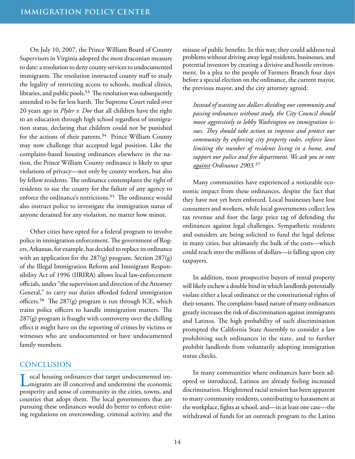On July 10, 2007, the Prince William Board of County Supervisors in Virginia adopted the most draconian measure to date: a resolution to deny county services to undocumented immigrants. The resolution instructed county staff to study the legality of restricting access to schools, medical clinics, libraries, and public pools.<sup>53</sup> The resolution was subsequently amended to be far less harsh. The Supreme Court ruled over 20 years ago in *Plyler v. Doe* that all children have the right to an education through high school regardless of immigration status, declaring that children could not be punished for the actions of their parents.<sup>54</sup> Prince William County may now challenge that accepted legal position. Like the complaint-based housing ordinances elsewhere in the nation, the Prince William County ordinance is likely to spur violations of privacy—not only by county workers, but also by fellow residents. The ordinance contemplates the right of residents to sue the county for the failure of any agency to enforce the ordinance's restrictions.<sup>55</sup> The ordinance would also instruct police to investigate the immigration status of anyone detained for any violation, no matter how minor.

Other cities have opted for a federal program to involve police in immigration enforcement. The government of Rogers, Arkansas, for example, has decided to replace its ordinance with an application for the 287(g) program. Section 287(g) of the Illegal Immigration Reform and Immigrant Responsibility Act of 1996 (IIRIRA) allows local law-enforcement officials, under "the supervision and direction of the Attorney General," to carry out duties afforded federal immigration officers.<sup>56</sup> The 287(g) program is run through ICE, which trains police officers to handle immigration matters. The 287(g) program is fraught with controversy over the chilling effect it might have on the reporting of crimes by victims or witnesses who are undocumented or have undocumented family members.

# **CONCLUSION**

ocal housing ordinances that target undocumented immigrants are ill conceived and undermine the economic prosperity and sense of community in the cities, towns, and counties that adopt them. The local governments that are pursuing these ordinances would do better to enforce existing regulations on overcrowding, criminal activity, and the misuse of public benefits. In this way, they could address real problems without driving away legal residents, businesses, and potential investors by creating a divisive and hostile environment. In a plea to the people of Farmers Branch four days before a special election on the ordinance, the current mayor, the previous mayor, and the city attorney agreed:

*Instead of wasting tax dollars dividing our community and passing ordinances without study, the City Council should move aggressively to lobby Washington on immigration issues. They should take action to improve and protect our community by enforcing city property codes, enforce laws limiting the number of residents living in a home, and support our police and fire department. We ask you to vote against Ordinance 2903.⁵⁷*

Many communities have experienced a noticeable economic impact from these ordinances, despite the fact that they have not yet been enforced. Local businesses have lost consumers and workers, while local governments collect less tax revenue and foot the large price tag of defending the ordinances against legal challenges. Sympathetic residents and outsiders are being solicited to fund the legal defense in many cities, but ultimately the bulk of the costs—which could reach into the millions of dollars—is falling upon city taxpayers.

In addition, most prospective buyers of rental property will likely eschew a double bind in which landlords potentially violate either a local ordinance or the constitutional rights of their tenants. The complaint-based nature of many ordinances greatly increases the risk of discrimination against immigrants and Latinos. The high probability of such discrimination prompted the California State Assembly to consider a law prohibiting such ordinances in the state, and to further prohibit landlords from voluntarily adopting immigration status checks.

In many communities where ordinances have been adopted or introduced, Latinos are already feeling increased discrimination. Heightened racial tension has been apparent to many community residents, contributing to harassment at the workplace, fights at school, and—in at least one case—the withdrawal of funds for an outreach program to the Latino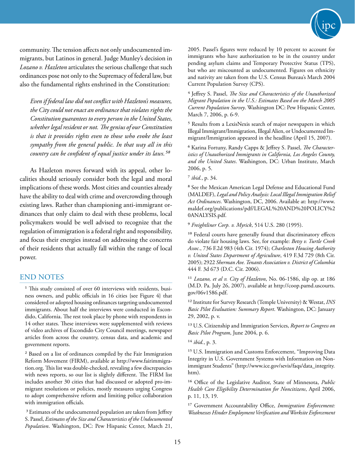

community. The tension affects not only undocumented immigrants, but Latinos in general. Judge Munley's decision in *Lozano v. Hazleton* articulates the serious challenge that such ordinances pose not only to the Supremacy of federal law, but also the fundamental rights enshrined in the Constitution:

*Even if federal law did not conflict with Hazleton's measures, the City could not enact an ordinance that violates rights the Constitution guarantees to every person in the United States, whether legal resident or not. The genius of our Constitution is that it provides rights even to those who evoke the least sympathy from the general public. In that way all in this country can be confident of equal justice under its laws.*<sup>58</sup>

As Hazleton moves forward with its appeal, other localities should seriously consider both the legal and moral implications of these words. Most cities and counties already have the ability to deal with crime and overcrowding through existing laws. Rather than championing anti-immigrant ordinances that only claim to deal with these problems, local policymakers would be well advised to recognize that the regulation of immigration is a federal right and responsibility, and focus their energies instead on addressing the concerns of their residents that actually fall within the range of local power.

#### **END NOTES**

<sup>1</sup> This study consisted of over 60 interviews with residents, business owners, and public officials in 16 cities {see Figure 4} that considered or adopted housing ordinances targeting undocumented immigrants. About half the interviews were conducted in Escondido, California. The rest took place by phone with respondents in 14 other states. These interviews were supplemented with reviews of video archives of Escondido City Council meetings, newspaper articles from across the country, census data, and academic and government reports.

² Based on a list of ordinances compiled by the Fair Immigration Reform Movement (FIRM), available at http://www.fairimmigration.org. This list was double-checked, revealing a few discrepancies with news reports, so our list is slightly different. The FIRM list includes another 30 cities that had discussed or adopted pro-immigrant resolutions or policies, mostly measures urging Congress to adopt comprehensive reform and limiting police collaboration with immigration officials.

<sup>3</sup> Estimates of the undocumented population are taken from Jeffrey S. Passel, *Estimates of the Size and Characteristics of the Undocumented Population*. Washington, DC: Pew Hispanic Center, March 21,

2005. Passel's figures were reduced by 10 percent to account for immigrants who have authorization to be in the country under pending asylum claims and Temporary Protective Status (TPS), but who are miscounted as undocumented. Figures on ethnicity and nativity are taken from the U.S. Census Bureau's March 2004 Current Population Survey (CPS).

⁴ Jeffrey S. Passel, *The Size and Characteristics of the Unauthorized Migrant Population in the U.S.: Estimates Based on the March 2005 Current Population Survey*. Washington DC: Pew Hispanic Center, March 7, 2006, p. 6-9.

<sup>5</sup> Results from a LexisNexis search of major newspapers in which Illegal Immigrant/Immigration, Illegal Alien, or Undocumented Immigrant/Immigration appeared in the headline (April 15, 2007).

⁶ Karina Fortuny, Randy Capps & Jeffrey S. Passel, *The Characteristics of Unauthorized Immigrants in California, Los Angeles County, and the United States*. Washington, DC: Urban Institute, March 2006, p. 5.

⁷ *ibid.*, p. 34.

<sup>8</sup> See the Mexican American Legal Defense and Educational Fund (MALDEF), *Legal and Policy Analysis: Local Illegal Immigration Relief Act Ordinances*. Washington, DC, 2006. Available at: http://www. maldef.org/publications/pdf/LEGAL%20AND%20POLICY%2 0ANALYSIS.pdf.

⁹ *Freightliner Corp. v. Myrick*, 514 U.S. 280 (1995).

<sup>10</sup> Federal courts have generally found that discriminatory effects do violate fair housing laws. See, for example: *Betsy v. Turtle Creek Assoc.*, 736 F.2d 983 (4th Cir. 1974); *Charleston Housing Authority v. United States Department of Agriculture*, 419 F.3d 729 (8th Cir. 2005); 2922 *Sherman Ave. Tenants Association v. District of Columbia* 444 F. 3d 673 (D.C. Cir. 2006).

<sup>11</sup> Lozano, et al v. City of Hazleton, No. 06-1586, slip op. at 186 (M.D. Pa. July 26, 2007), available at http://coop.pamd.uscourts. gov/06v1586.pdf.

<sup>12</sup> Institute for Survey Research (Temple University) & Westat, *INS Basic Pilot Evaluation: Summary Report*. Washington, DC: January 29, 2002, p. v.

<sup>13</sup> U.S. Citizenship and Immigration Services, *Report to Congress on Basic Pilot Program*, June 2004, p. 6.

¹⁴ *ibid.*, p. 3.

<sup>15</sup> U.S. Immigration and Customs Enforcement, "Improving Data Integrity in U.S. Government Systems with Information on Nonimmigrant Students" (http://www.ice.gov/sevis/faqs/data\_integrity. htm).

<sup>16</sup> Office of the Legislative Auditor, State of Minnesota, *Public Health Care Eligibility Determination for Noncitizens*, April 2006, p. 11, 13, 19.

<sup>17</sup> Government Accountability Office, *Immigration Enforcement*: *Weaknesses Hinder Employment Verification and Worksite Enforcement*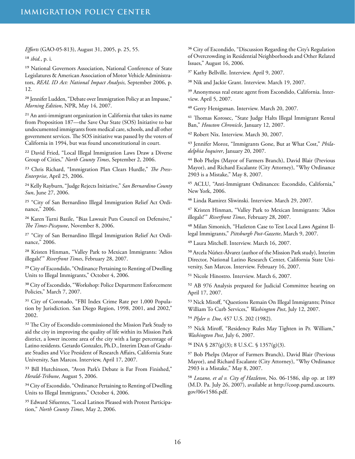*Efforts* (GAO-05-813), August 31, 2005, p. 25, 55.

<sup>18</sup> *ibid.*, p. i.

<sup>19</sup> National Governors Association, National Conference of State Legislatures & American Association of Motor Vehicle Administrators, *REAL ID Act: National Impact Analysis*, September 2006, p. 12.

<sup>20</sup> Jennifer Ludden, "Debate over Immigration Policy at an Impasse," *Morning Edition*, NPR, May 14, 2007.

<sup>21</sup> An anti-immigrant organization in California that takes its name from Proposition 187—the Save Our State (SOS) Initiative to bar undocumented immigrants from medical care, schools, and all other government services. The SOS initiative was passed by the voters of California in 1994, but was found unconstitutional in court.

<sup>22</sup> David Fried, "Local Illegal Immigration Laws Draw a Diverse Group of Cities," *North County Times*, September 2, 2006.

<sup>23</sup> Chris Richard, "Immigration Plan Clears Hurdle," The Press-*Enterprise*, April 25, 2006.

²⁴ Kelly Rayburn, "Judge Rejects Initiative," *San Bernardino County Sun*, June 27, 2006.

<sup>25</sup> "City of San Bernardino Illegal Immigration Relief Act Ordinance," 2006.

<sup>26</sup> Karen Turni Bazile, "Bias Lawsuit Puts Council on Defensive," *The Times-Picayune*, November 8, 2006.

<sup>27</sup> "City of San Bernardino Illegal Immigration Relief Act Ordinance," 2006.

<sup>28</sup> Kristen Hinman, "Valley Park to Mexican Immigrants: 'Adios illegals!'" *Riverfront Times*, February 28, 2007.

<sup>29</sup> City of Escondido, "Ordinance Pertaining to Renting of Dwelling Units to Illegal Immigrants," October 4, 2006.

<sup>30</sup> City of Escondido, "Workshop: Police Department Enforcement Policies," March 7, 2007.

<sup>31</sup> City of Coronado, "FBI Index Crime Rate per 1,000 Population by Jurisdiction. San Diego Region, 1998, 2001, and 2002," 2002.

<sup>32</sup> The City of Escondido commissioned the Mission Park Study to aid the city in improving the quality of life within its Mission Park district, a lower income area of the city with a large percentage of Latino residents. Gerardo Gonzalez, Ph.D., Interim Dean of Graduate Studies and Vice President of Research Affairs, California State University, San Marcos. Interview, April 17, 2007.

<sup>33</sup> Bill Hutchinson, "Avon Park's Debate is Far From Finished," *Herald-Tribune*, August 5, 2006.

<sup>34</sup> City of Escondido, "Ordinance Pertaining to Renting of Dwelling Units to Illegal Immigrants," October 4, 2006.

<sup>35</sup> Edward Sifuentes, "Local Latinos Pleased with Protest Participation," *North County Times*, May 2, 2006.

<sup>36</sup> City of Escondido, "Discussion Regarding the City's Regulation of Overcrowding in Residential Neighborhoods and Other Related Issues," August 16, 2006.

<sup>37</sup> Kathy Bellville. Interview. April 9, 2007.

<sup>38</sup> Nik and Jackie Grant. Interview. March 19, 2007.

<sup>39</sup> Anonymous real estate agent from Escondido, California. Interview. April 5, 2007.

<sup>40</sup> Gerry Henigsman. Interview. March 20, 2007.

<sup>41</sup> Thomas Korosec, "State Judge Halts Illegal Immigrant Rental Ban," *Houston Chronicle*, January 12, 2007.

<sup>42</sup> Robert Nix. Interview. March 30, 2007.

⁴³ Jennifer Moroz, "Immigrants Gone, But at What Cost," *Philadelphia Inquirer*, January 20, 2007.

<sup>44</sup> Bob Phelps (Mayor of Farmers Branch), David Blair (Previous Mayor), and Richard Escalante (City Attorney), "Why Ordinance 2903 is a Mistake," May 8, 2007.

⁴⁵ ACLU, "Anti-Immigrant Ordinances: Escondido, California," New York, 2006.

<sup>46</sup> Linda Ramirez Sliwinski. Interview. March 29, 2007.

⁴⁷ Kristen Hinman, "Valley Park to Mexican Immigrants: 'Adios illegals!'" *Riverfront Times*, February 28, 2007.

<sup>48</sup> Milan Simonich, "Hazleton Case to Test Local Laws Against Illegal Immigrants," *Pittsburgh Post-Gazette*, March 9, 2007.

<sup>49</sup> Laura Mitchell. Interview. March 16, 2007.

<sup>50</sup> Arcela Núñez-Álvarez (author of the Mission Park study), Interim Director, National Latino Research Center, California State University, San Marcos. Interview. February 16, 2007.

<sup>51</sup> Nicole Hinostro. Interview. March 6, 2007.

<sup>52</sup> AB 976 Analysis prepared for Judicial Committee hearing on April 17, 2007.

<sup>53</sup> Nick Miroff, "Questions Remain On Illegal Immigrants; Prince William To Curb Services," *Washington Post*, July 12, 2007.

⁵⁴ *Plyler v. Doe*, 457 U.S. 202 (1982).

<sup>55</sup> Nick Miroff, "Residency Rules May Tighten in Pr. William," *Washington Post*, July 6, 2007.

⁵⁶ INA § 287(g)(3); 8 U.S.C. § 1357(g)(3).

⁵⁷ Bob Phelps (Mayor of Farmers Branch), David Blair (Previous Mayor), and Richard Escalante (City Attorney), "Why Ordinance 2903 is a Mistake," May 8, 2007.

⁵⁸ *Lozano, et al v. City of Hazleton*, No. 06-1586, slip op. at 189 (M.D. Pa. July 26, 2007), available at http://coop.pamd.uscourts. gov/06v1586.pdf.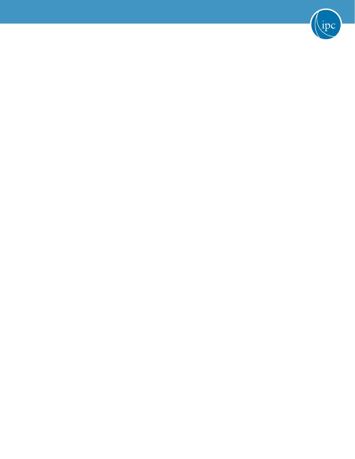